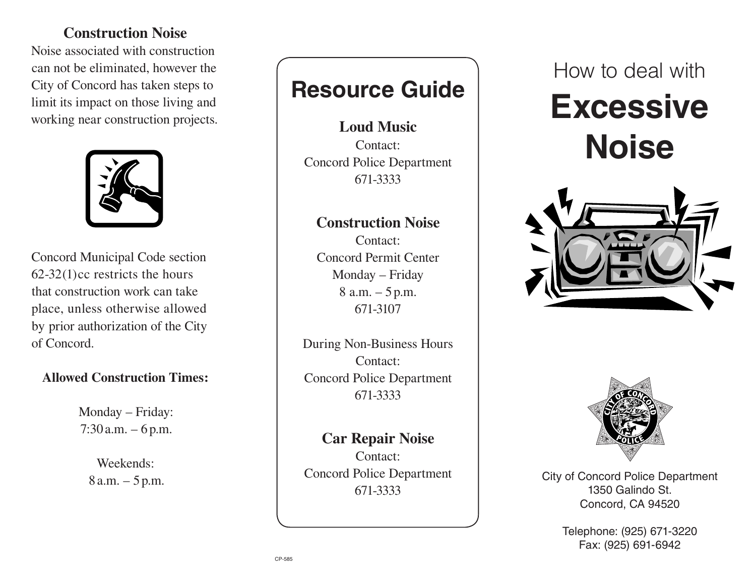### **Construction Noise**

Noise associated with construction can not be eliminated, however the City of Concord has taken steps to limit its impact on those living and working near construction projects.



Concord Municipal Code section 62-32(1)cc restricts the hours that construction work can take place, unless otherwise allowed by prior authorization of the City of Concord.

### **Allowed Construction Times:**

Monday – Friday:  $7:30$  a.m.  $-6$  p.m.

> Weekends: 8 a.m. – 5 p.m.

## **Resource Guide**

**Loud Music** Contact: Concord Police Department 671-3333

### **Construction Noise**

Contact: Concord Permit Center Monday – Friday 8 a.m. – 5 p.m. 671-3107

During Non-Business Hours Contact: Concord Police Department 671-3333

**Car Repair Noise** Contact: Concord Police Department 671-3333

How to deal with

# **Excessive Noise**





City of Concord Police Department 1350 Galindo St. Concord, CA 94520

> Telephone: (925) 671-3220 Fax: (925) 691-6942